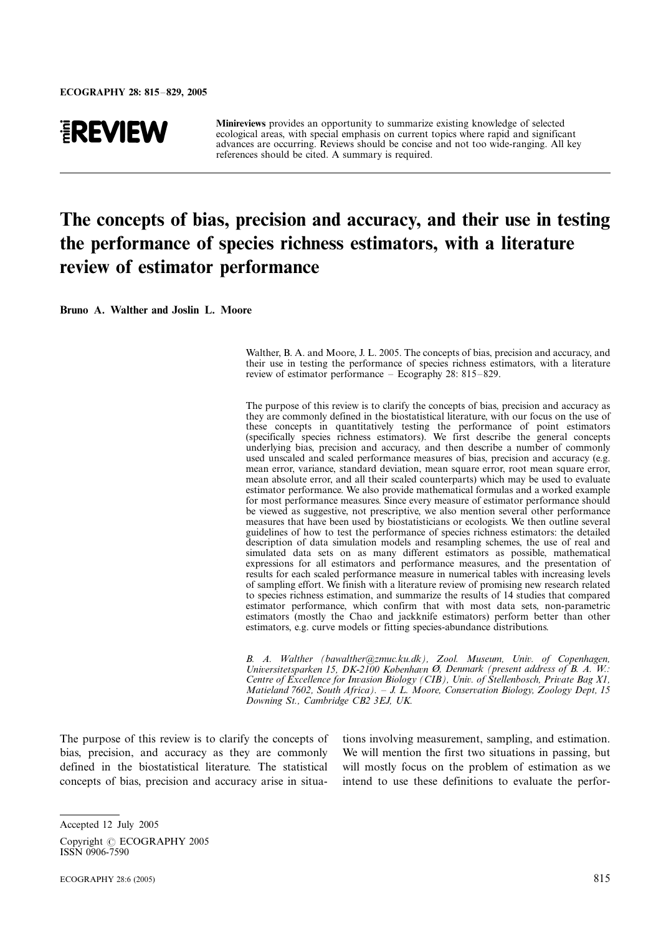# **EREVIEW**

Minireviews provides an opportunity to summarize existing knowledge of selected ecological areas, with special emphasis on current topics where rapid and significant advances are occurring. Reviews should be concise and not too wide-ranging. All key references should be cited. A summary is required.

# The concepts of bias, precision and accuracy, and their use in testing the performance of species richness estimators, with a literature review of estimator performance

Bruno A. Walther and Joslin L. Moore

Walther, B. A. and Moore, J. L. 2005. The concepts of bias, precision and accuracy, and their use in testing the performance of species richness estimators, with a literature review of estimator performance  $-$  Ecography 28: 815–829.

The purpose of this review is to clarify the concepts of bias, precision and accuracy as they are commonly defined in the biostatistical literature, with our focus on the use of these concepts in quantitatively testing the performance of point estimators (specifically species richness estimators). We first describe the general concepts underlying bias, precision and accuracy, and then describe a number of commonly used unscaled and scaled performance measures of bias, precision and accuracy (e.g. mean error, variance, standard deviation, mean square error, root mean square error, mean absolute error, and all their scaled counterparts) which may be used to evaluate estimator performance. We also provide mathematical formulas and a worked example for most performance measures. Since every measure of estimator performance should be viewed as suggestive, not prescriptive, we also mention several other performance measures that have been used by biostatisticians or ecologists. We then outline several guidelines of how to test the performance of species richness estimators: the detailed description of data simulation models and resampling schemes, the use of real and simulated data sets on as many different estimators as possible, mathematical expressions for all estimators and performance measures, and the presentation of results for each scaled performance measure in numerical tables with increasing levels of sampling effort. We finish with a literature review of promising new research related to species richness estimation, and summarize the results of 14 studies that compared estimator performance, which confirm that with most data sets, non-parametric estimators (mostly the Chao and jackknife estimators) perform better than other estimators, e.g. curve models or fitting species-abundance distributions.

B. A. Walther (bawalther@zmuc.ku.dk), Zool. Museum, Univ. of Copenhagen, Universitetsparken 15, DK-2100 København Ø, Denmark (present address of B. A. W.: Centre of Excellence for Invasion Biology (CIB), Univ. of Stellenbosch, Private Bag X1, Matieland 7602, South Africa). - J. L. Moore, Conservation Biology, Zoology Dept, 15 Downing St., Cambridge CB2 3EJ, UK.

The purpose of this review is to clarify the concepts of bias, precision, and accuracy as they are commonly defined in the biostatistical literature. The statistical concepts of bias, precision and accuracy arise in situations involving measurement, sampling, and estimation. We will mention the first two situations in passing, but will mostly focus on the problem of estimation as we intend to use these definitions to evaluate the perfor-

Copyright © ECOGRAPHY 2005 ISSN 0906-7590

Accepted 12 July 2005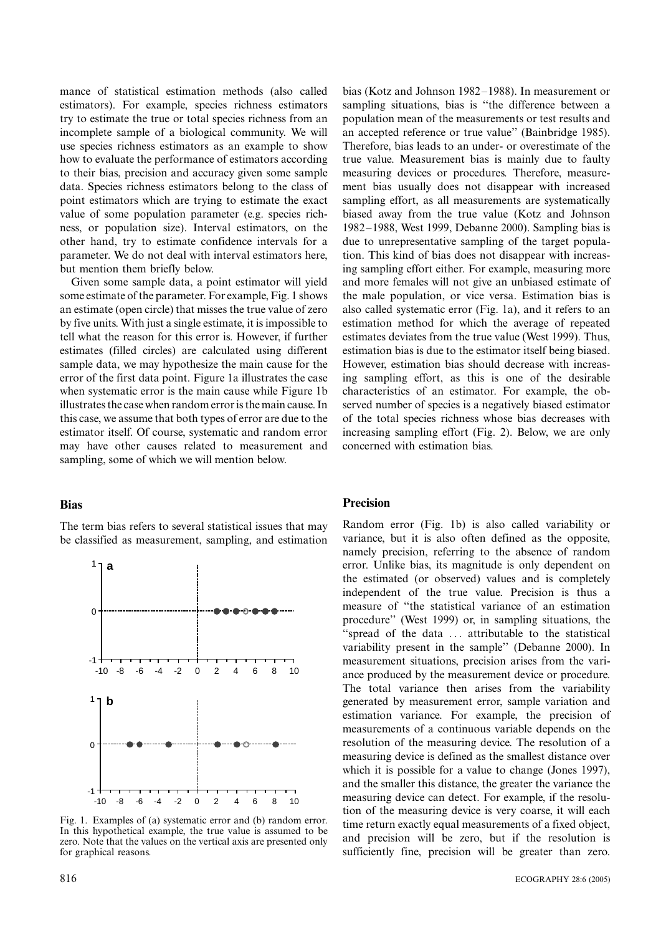mance of statistical estimation methods (also called estimators). For example, species richness estimators try to estimate the true or total species richness from an incomplete sample of a biological community. We will use species richness estimators as an example to show how to evaluate the performance of estimators according to their bias, precision and accuracy given some sample data. Species richness estimators belong to the class of point estimators which are trying to estimate the exact value of some population parameter (e.g. species richness, or population size). Interval estimators, on the other hand, try to estimate confidence intervals for a parameter. We do not deal with interval estimators here, but mention them briefly below.

Given some sample data, a point estimator will yield some estimate of the parameter. For example, Fig. 1 shows an estimate (open circle) that misses the true value of zero by five units. With just a single estimate, it is impossible to tell what the reason for this error is. However, if further estimates (filled circles) are calculated using different sample data, we may hypothesize the main cause for the error of the first data point. Figure 1a illustrates the case when systematic error is the main cause while Figure 1b illustrates the case when random error is the main cause. In this case, we assume that both types of error are due to the estimator itself. Of course, systematic and random error may have other causes related to measurement and sampling, some of which we will mention below.

# Bias

The term bias refers to several statistical issues that may be classified as measurement, sampling, and estimation



Fig. 1. Examples of (a) systematic error and (b) random error. In this hypothetical example, the true value is assumed to be zero. Note that the values on the vertical axis are presented only for graphical reasons.

bias (Kotz and Johnson 1982–1988). In measurement or sampling situations, bias is "the difference between a population mean of the measurements or test results and an accepted reference or true value'' (Bainbridge 1985). Therefore, bias leads to an under- or overestimate of the true value. Measurement bias is mainly due to faulty measuring devices or procedures. Therefore, measurement bias usually does not disappear with increased sampling effort, as all measurements are systematically biased away from the true value (Kotz and Johnson 1982–1988, West 1999, Debanne 2000). Sampling bias is due to unrepresentative sampling of the target population. This kind of bias does not disappear with increasing sampling effort either. For example, measuring more and more females will not give an unbiased estimate of the male population, or vice versa. Estimation bias is also called systematic error (Fig. 1a), and it refers to an estimation method for which the average of repeated estimates deviates from the true value (West 1999). Thus, estimation bias is due to the estimator itself being biased. However, estimation bias should decrease with increasing sampling effort, as this is one of the desirable characteristics of an estimator. For example, the observed number of species is a negatively biased estimator of the total species richness whose bias decreases with increasing sampling effort (Fig. 2). Below, we are only concerned with estimation bias.

# Precision

Random error (Fig. 1b) is also called variability or variance, but it is also often defined as the opposite, namely precision, referring to the absence of random error. Unlike bias, its magnitude is only dependent on the estimated (or observed) values and is completely independent of the true value. Precision is thus a measure of ''the statistical variance of an estimation procedure'' (West 1999) or, in sampling situations, the ''spread of the data ... attributable to the statistical variability present in the sample'' (Debanne 2000). In measurement situations, precision arises from the variance produced by the measurement device or procedure. The total variance then arises from the variability generated by measurement error, sample variation and estimation variance. For example, the precision of measurements of a continuous variable depends on the resolution of the measuring device. The resolution of a measuring device is defined as the smallest distance over which it is possible for a value to change (Jones 1997), and the smaller this distance, the greater the variance the measuring device can detect. For example, if the resolution of the measuring device is very coarse, it will each time return exactly equal measurements of a fixed object, and precision will be zero, but if the resolution is sufficiently fine, precision will be greater than zero.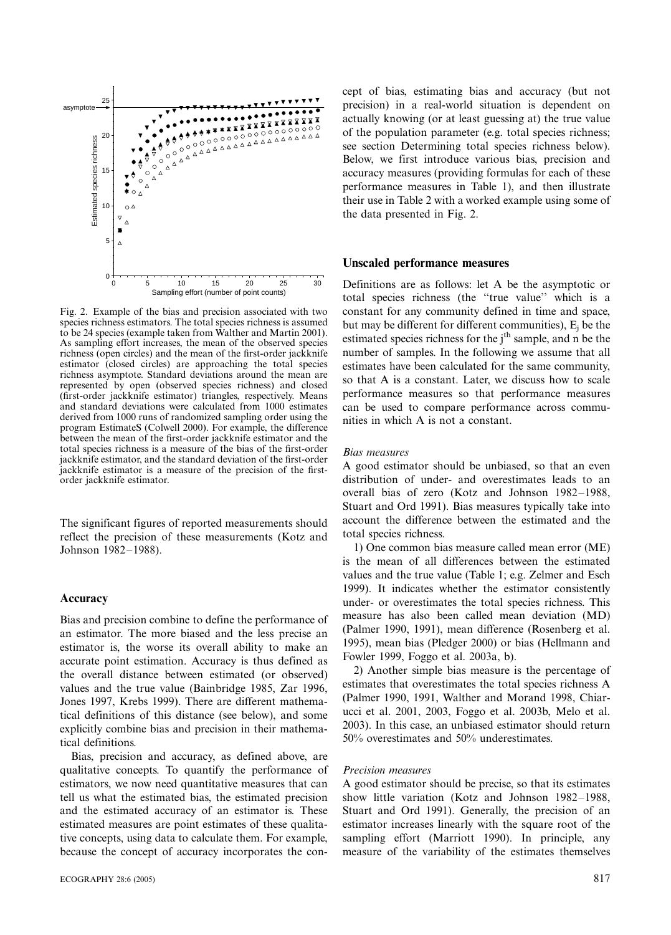

Fig. 2. Example of the bias and precision associated with two species richness estimators. The total species richness is assumed to be 24 species (example taken from Walther and Martin 2001). As sampling effort increases, the mean of the observed species richness (open circles) and the mean of the first-order jackknife estimator (closed circles) are approaching the total species richness asymptote. Standard deviations around the mean are represented by open (observed species richness) and closed (first-order jackknife estimator) triangles, respectively. Means and standard deviations were calculated from 1000 estimates derived from 1000 runs of randomized sampling order using the program EstimateS (Colwell 2000). For example, the difference between the mean of the first-order jackknife estimator and the total species richness is a measure of the bias of the first-order jackknife estimator, and the standard deviation of the first-order jackknife estimator is a measure of the precision of the firstorder jackknife estimator.

The significant figures of reported measurements should reflect the precision of these measurements (Kotz and Johnson 1982-1988).

#### Accuracy

Bias and precision combine to define the performance of an estimator. The more biased and the less precise an estimator is, the worse its overall ability to make an accurate point estimation. Accuracy is thus defined as the overall distance between estimated (or observed) values and the true value (Bainbridge 1985, Zar 1996, Jones 1997, Krebs 1999). There are different mathematical definitions of this distance (see below), and some explicitly combine bias and precision in their mathematical definitions.

Bias, precision and accuracy, as defined above, are qualitative concepts. To quantify the performance of estimators, we now need quantitative measures that can tell us what the estimated bias, the estimated precision and the estimated accuracy of an estimator is. These estimated measures are point estimates of these qualitative concepts, using data to calculate them. For example, because the concept of accuracy incorporates the concept of bias, estimating bias and accuracy (but not precision) in a real-world situation is dependent on actually knowing (or at least guessing at) the true value of the population parameter (e.g. total species richness; see section Determining total species richness below). Below, we first introduce various bias, precision and accuracy measures (providing formulas for each of these performance measures in Table 1), and then illustrate their use in Table 2 with a worked example using some of the data presented in Fig. 2.

#### Unscaled performance measures

Definitions are as follows: let A be the asymptotic or total species richness (the ''true value'' which is a constant for any community defined in time and space, but may be different for different communities),  $E_i$  be the estimated species richness for the j<sup>th</sup> sample, and n be the number of samples. In the following we assume that all estimates have been calculated for the same community, so that A is a constant. Later, we discuss how to scale performance measures so that performance measures can be used to compare performance across communities in which A is not a constant.

#### Bias measures

A good estimator should be unbiased, so that an even distribution of under- and overestimates leads to an overall bias of zero (Kotz and Johnson 1982-1988, Stuart and Ord 1991). Bias measures typically take into account the difference between the estimated and the total species richness.

1) One common bias measure called mean error (ME) is the mean of all differences between the estimated values and the true value (Table 1; e.g. Zelmer and Esch 1999). It indicates whether the estimator consistently under- or overestimates the total species richness. This measure has also been called mean deviation (MD) (Palmer 1990, 1991), mean difference (Rosenberg et al. 1995), mean bias (Pledger 2000) or bias (Hellmann and Fowler 1999, Foggo et al. 2003a, b).

2) Another simple bias measure is the percentage of estimates that overestimates the total species richness A (Palmer 1990, 1991, Walther and Morand 1998, Chiarucci et al. 2001, 2003, Foggo et al. 2003b, Melo et al. 2003). In this case, an unbiased estimator should return 50% overestimates and 50% underestimates.

#### Precision measures

A good estimator should be precise, so that its estimates show little variation (Kotz and Johnson 1982-1988, Stuart and Ord 1991). Generally, the precision of an estimator increases linearly with the square root of the sampling effort (Marriott 1990). In principle, any measure of the variability of the estimates themselves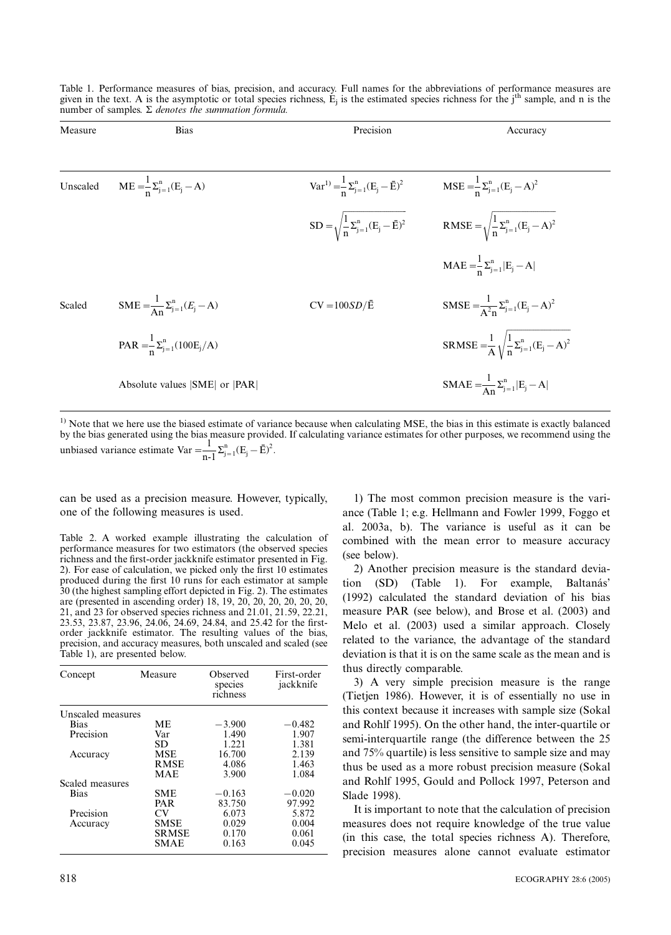Table 1. Performance measures of bias, precision, and accuracy. Full names for the abbreviations of performance measures are given in the text. A is the asymptotic or total species richness,  $E_j$  is the estimated species number of samples.  $\Sigma$  denotes the summation formula.

| Measure  | <b>Bias</b>                                   | Precision                                                                          | Accuracy                                                            |
|----------|-----------------------------------------------|------------------------------------------------------------------------------------|---------------------------------------------------------------------|
|          |                                               |                                                                                    |                                                                     |
| Unscaled | $ME = \frac{1}{n} \sum_{j=1}^{n} (E_j - A)$   | $\text{Var}^{1)} = \frac{1}{n} \sum_{j=1}^{n} (\text{E}_{j} - \bar{\text{E}})^{2}$ | $MSE = \frac{1}{n} \sum_{j=1}^{n} (E_j - A)^2$                      |
|          |                                               | $SD = \sqrt{\frac{1}{n} \sum_{j=1}^{n} (E_j - \bar{E})^2}$                         | $RMSE = \sqrt{\frac{1}{n} \sum_{j=1}^{n} (E_j - A)^2}$              |
|          |                                               |                                                                                    | $MAE = \frac{1}{n} \sum_{j=1}^{n}  E_j - A $                        |
| Scaled   | $SME = \frac{1}{4n} \sum_{j=1}^{n} (E_j - A)$ | $CV = 100SD/\bar{E}$                                                               | $SMSE = \frac{1}{\Lambda^2 n} \sum_{j=1}^{n} (E_j - A)^2$           |
|          | $PAR = \frac{1}{n} \sum_{j=1}^{n} (100E_j/A)$ |                                                                                    | $SRMSE = \frac{1}{A} \sqrt{\frac{1}{n} \sum_{j=1}^{n} (E_j - A)^2}$ |
|          | Absolute values SME or PAR                    |                                                                                    | $SMAE = \frac{1}{\Lambda_n} \sum_{j=1}^n  E_j - A $                 |

 $<sup>1</sup>$  Note that we here use the biased estimate of variance because when calculating MSE, the bias in this estimate is exactly balanced</sup> by the bias generated using the bias measure provided. If calculating variance estimates for other purposes, we recommend using the unbiased variance estimate  $Var = \frac{1}{2}$  $\frac{1}{n-1}\sum_{j=1}^{n}(E_j-\bar{E})^2$ .

can be used as a precision measure. However, typically, one of the following measures is used.

Table 2. A worked example illustrating the calculation of performance measures for two estimators (the observed species richness and the first-order jackknife estimator presented in Fig. 2). For ease of calculation, we picked only the first 10 estimates produced during the first 10 runs for each estimator at sample 30 (the highest sampling effort depicted in Fig. 2). The estimates are (presented in ascending order) 18, 19, 20, 20, 20, 20, 20, 20, 21, and 23 for observed species richness and 21.01, 21.59, 22.21, 23.53, 23.87, 23.96, 24.06, 24.69, 24.84, and 25.42 for the firstorder jackknife estimator. The resulting values of the bias, precision, and accuracy measures, both unscaled and scaled (see Table 1), are presented below.

| Concept           | Measure      | Observed<br>species<br>richness | First-order<br>jackknife |
|-------------------|--------------|---------------------------------|--------------------------|
| Unscaled measures |              |                                 |                          |
| <b>Bias</b>       | ME.          | $-3.900$                        | $-0.482$                 |
| Precision         | Var          | 1.490                           | 1.907                    |
|                   | SD           | 1.221                           | 1.381                    |
| Accuracy          | MSE          | 16.700                          | 2.139                    |
|                   | <b>RMSE</b>  | 4.086                           | 1.463                    |
|                   | MAE          | 3.900                           | 1.084                    |
| Scaled measures   |              |                                 |                          |
| <b>Bias</b>       | <b>SME</b>   | $-0.163$                        | $-0.020$                 |
|                   | PAR          | 83.750                          | 97.992                   |
| Precision         | CV           | 6.073                           | 5.872                    |
| Accuracy          | <b>SMSE</b>  | 0.029                           | 0.004                    |
|                   | <b>SRMSE</b> | 0.170                           | 0.061                    |
|                   | SMAE         | 0.163                           | 0.045                    |
|                   |              |                                 |                          |

1) The most common precision measure is the variance (Table 1; e.g. Hellmann and Fowler 1999, Foggo et al. 2003a, b). The variance is useful as it can be combined with the mean error to measure accuracy (see below).

2) Another precision measure is the standard deviation (SD) (Table 1). For example, Baltanás' (1992) calculated the standard deviation of his bias measure PAR (see below), and Brose et al. (2003) and Melo et al. (2003) used a similar approach. Closely related to the variance, the advantage of the standard deviation is that it is on the same scale as the mean and is thus directly comparable.

3) A very simple precision measure is the range (Tietjen 1986). However, it is of essentially no use in this context because it increases with sample size (Sokal and Rohlf 1995). On the other hand, the inter-quartile or semi-interquartile range (the difference between the 25 and 75% quartile) is less sensitive to sample size and may thus be used as a more robust precision measure (Sokal and Rohlf 1995, Gould and Pollock 1997, Peterson and Slade 1998).

It is important to note that the calculation of precision measures does not require knowledge of the true value (in this case, the total species richness A). Therefore, precision measures alone cannot evaluate estimator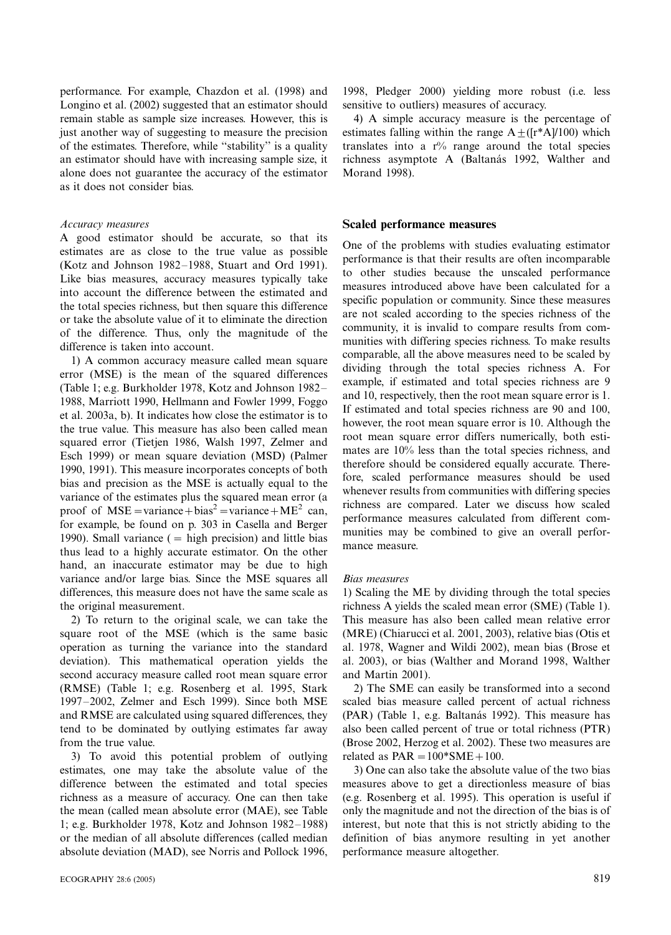performance. For example, Chazdon et al. (1998) and Longino et al. (2002) suggested that an estimator should remain stable as sample size increases. However, this is just another way of suggesting to measure the precision of the estimates. Therefore, while ''stability'' is a quality an estimator should have with increasing sample size, it alone does not guarantee the accuracy of the estimator as it does not consider bias.

### Accuracy measures

A good estimator should be accurate, so that its estimates are as close to the true value as possible (Kotz and Johnson  $1982-1988$ , Stuart and Ord 1991). Like bias measures, accuracy measures typically take into account the difference between the estimated and the total species richness, but then square this difference or take the absolute value of it to eliminate the direction of the difference. Thus, only the magnitude of the difference is taken into account.

1) A common accuracy measure called mean square error (MSE) is the mean of the squared differences (Table 1; e.g. Burkholder 1978, Kotz and Johnson 1982– 1988, Marriott 1990, Hellmann and Fowler 1999, Foggo et al. 2003a, b). It indicates how close the estimator is to the true value. This measure has also been called mean squared error (Tietjen 1986, Walsh 1997, Zelmer and Esch 1999) or mean square deviation (MSD) (Palmer 1990, 1991). This measure incorporates concepts of both bias and precision as the MSE is actually equal to the variance of the estimates plus the squared mean error (a proof of  $MSE = \text{variance} + \text{bias}^2 = \text{variance} + ME^2$  can, for example, be found on p. 303 in Casella and Berger 1990). Small variance  $($  = high precision) and little bias thus lead to a highly accurate estimator. On the other hand, an inaccurate estimator may be due to high variance and/or large bias. Since the MSE squares all differences, this measure does not have the same scale as the original measurement.

2) To return to the original scale, we can take the square root of the MSE (which is the same basic operation as turning the variance into the standard deviation). This mathematical operation yields the second accuracy measure called root mean square error (RMSE) (Table 1; e.g. Rosenberg et al. 1995, Stark 1997-2002, Zelmer and Esch 1999). Since both MSE and RMSE are calculated using squared differences, they tend to be dominated by outlying estimates far away from the true value.

3) To avoid this potential problem of outlying estimates, one may take the absolute value of the difference between the estimated and total species richness as a measure of accuracy. One can then take the mean (called mean absolute error (MAE), see Table 1; e.g. Burkholder 1978, Kotz and Johnson  $1982-1988$ ) or the median of all absolute differences (called median absolute deviation (MAD), see Norris and Pollock 1996,

1998, Pledger 2000) yielding more robust (i.e. less sensitive to outliers) measures of accuracy.

4) A simple accuracy measure is the percentage of estimates falling within the range  $A+([(r*A)/100)$  which translates into a r% range around the total species richness asymptote A (Baltanás 1992, Walther and Morand 1998).

# Scaled performance measures

One of the problems with studies evaluating estimator performance is that their results are often incomparable to other studies because the unscaled performance measures introduced above have been calculated for a specific population or community. Since these measures are not scaled according to the species richness of the community, it is invalid to compare results from communities with differing species richness. To make results comparable, all the above measures need to be scaled by dividing through the total species richness A. For example, if estimated and total species richness are 9 and 10, respectively, then the root mean square error is 1. If estimated and total species richness are 90 and 100, however, the root mean square error is 10. Although the root mean square error differs numerically, both estimates are 10% less than the total species richness, and therefore should be considered equally accurate. Therefore, scaled performance measures should be used whenever results from communities with differing species richness are compared. Later we discuss how scaled performance measures calculated from different communities may be combined to give an overall performance measure.

#### Bias measures

1) Scaling the ME by dividing through the total species richness A yields the scaled mean error (SME) (Table 1). This measure has also been called mean relative error (MRE) (Chiarucci et al. 2001, 2003), relative bias (Otis et al. 1978, Wagner and Wildi 2002), mean bias (Brose et al. 2003), or bias (Walther and Morand 1998, Walther and Martin 2001).

2) The SME can easily be transformed into a second scaled bias measure called percent of actual richness (PAR) (Table 1, e.g. Baltanás 1992). This measure has also been called percent of true or total richness (PTR) (Brose 2002, Herzog et al. 2002). These two measures are related as  $PAR = 100*SME + 100$ .

3) One can also take the absolute value of the two bias measures above to get a directionless measure of bias (e.g. Rosenberg et al. 1995). This operation is useful if only the magnitude and not the direction of the bias is of interest, but note that this is not strictly abiding to the definition of bias anymore resulting in yet another performance measure altogether.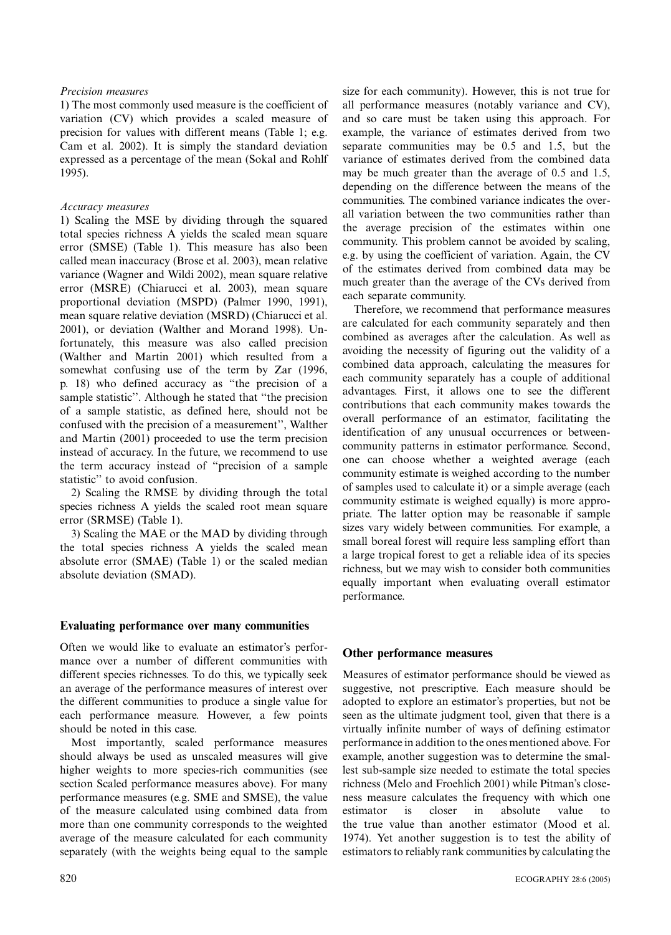# Precision measures

1) The most commonly used measure is the coefficient of variation (CV) which provides a scaled measure of precision for values with different means (Table 1; e.g. Cam et al. 2002). It is simply the standard deviation expressed as a percentage of the mean (Sokal and Rohlf 1995).

# Accuracy measures

1) Scaling the MSE by dividing through the squared total species richness A yields the scaled mean square error (SMSE) (Table 1). This measure has also been called mean inaccuracy (Brose et al. 2003), mean relative variance (Wagner and Wildi 2002), mean square relative error (MSRE) (Chiarucci et al. 2003), mean square proportional deviation (MSPD) (Palmer 1990, 1991), mean square relative deviation (MSRD) (Chiarucci et al. 2001), or deviation (Walther and Morand 1998). Unfortunately, this measure was also called precision (Walther and Martin 2001) which resulted from a somewhat confusing use of the term by Zar (1996, p. 18) who defined accuracy as ''the precision of a sample statistic''. Although he stated that ''the precision of a sample statistic, as defined here, should not be confused with the precision of a measurement'', Walther and Martin (2001) proceeded to use the term precision instead of accuracy. In the future, we recommend to use the term accuracy instead of ''precision of a sample statistic'' to avoid confusion.

2) Scaling the RMSE by dividing through the total species richness A yields the scaled root mean square error (SRMSE) (Table 1).

3) Scaling the MAE or the MAD by dividing through the total species richness A yields the scaled mean absolute error (SMAE) (Table 1) or the scaled median absolute deviation (SMAD).

# Evaluating performance over many communities

Often we would like to evaluate an estimator's performance over a number of different communities with different species richnesses. To do this, we typically seek an average of the performance measures of interest over the different communities to produce a single value for each performance measure. However, a few points should be noted in this case.

Most importantly, scaled performance measures should always be used as unscaled measures will give higher weights to more species-rich communities (see section Scaled performance measures above). For many performance measures (e.g. SME and SMSE), the value of the measure calculated using combined data from more than one community corresponds to the weighted average of the measure calculated for each community separately (with the weights being equal to the sample size for each community). However, this is not true for all performance measures (notably variance and CV), and so care must be taken using this approach. For example, the variance of estimates derived from two separate communities may be 0.5 and 1.5, but the variance of estimates derived from the combined data may be much greater than the average of 0.5 and 1.5, depending on the difference between the means of the communities. The combined variance indicates the overall variation between the two communities rather than the average precision of the estimates within one community. This problem cannot be avoided by scaling, e.g. by using the coefficient of variation. Again, the CV of the estimates derived from combined data may be much greater than the average of the CVs derived from each separate community.

Therefore, we recommend that performance measures are calculated for each community separately and then combined as averages after the calculation. As well as avoiding the necessity of figuring out the validity of a combined data approach, calculating the measures for each community separately has a couple of additional advantages. First, it allows one to see the different contributions that each community makes towards the overall performance of an estimator, facilitating the identification of any unusual occurrences or betweencommunity patterns in estimator performance. Second, one can choose whether a weighted average (each community estimate is weighed according to the number of samples used to calculate it) or a simple average (each community estimate is weighed equally) is more appropriate. The latter option may be reasonable if sample sizes vary widely between communities. For example, a small boreal forest will require less sampling effort than a large tropical forest to get a reliable idea of its species richness, but we may wish to consider both communities equally important when evaluating overall estimator performance.

# Other performance measures

Measures of estimator performance should be viewed as suggestive, not prescriptive. Each measure should be adopted to explore an estimator's properties, but not be seen as the ultimate judgment tool, given that there is a virtually infinite number of ways of defining estimator performance in addition to the ones mentioned above. For example, another suggestion was to determine the smallest sub-sample size needed to estimate the total species richness (Melo and Froehlich 2001) while Pitman's closeness measure calculates the frequency with which one estimator is closer in absolute value to the true value than another estimator (Mood et al. 1974). Yet another suggestion is to test the ability of estimators to reliably rank communities by calculating the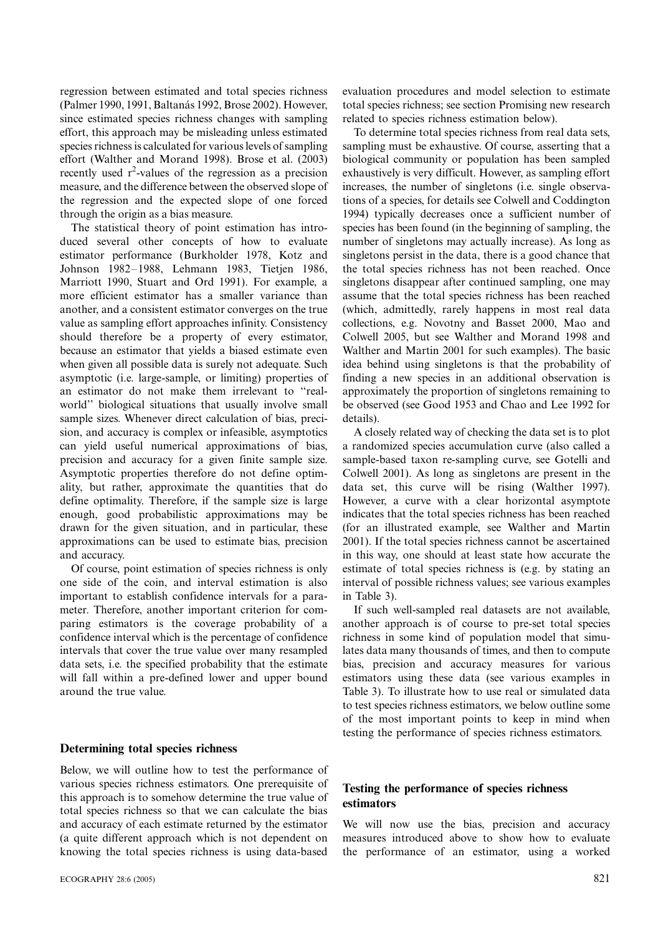regression between estimated and total species richness (Palmer 1990, 1991, Baltanás 1992, Brose 2002). However, since estimated species richness changes with sampling effort, this approach may be misleading unless estimated species richness is calculated for various levels of sampling effort (Walther and Morand 1998). Brose et al. (2003) recently used  $r^2$ -values of the regression as a precision measure, and the difference between the observed slope of the regression and the expected slope of one forced through the origin as a bias measure.

The statistical theory of point estimation has introduced several other concepts of how to evaluate estimator performance (Burkholder 1978, Kotz and Johnson 1982-1988, Lehmann 1983, Tietjen 1986, Marriott 1990, Stuart and Ord 1991). For example, a more efficient estimator has a smaller variance than another, and a consistent estimator converges on the true value as sampling effort approaches infinity. Consistency should therefore be a property of every estimator, because an estimator that yields a biased estimate even when given all possible data is surely not adequate. Such asymptotic (i.e. large-sample, or limiting) properties of an estimator do not make them irrelevant to ''realworld'' biological situations that usually involve small sample sizes. Whenever direct calculation of bias, precision, and accuracy is complex or infeasible, asymptotics can yield useful numerical approximations of bias, precision and accuracy for a given finite sample size. Asymptotic properties therefore do not define optimality, but rather, approximate the quantities that do define optimality. Therefore, if the sample size is large enough, good probabilistic approximations may be drawn for the given situation, and in particular, these approximations can be used to estimate bias, precision and accuracy.

Of course, point estimation of species richness is only one side of the coin, and interval estimation is also important to establish confidence intervals for a parameter. Therefore, another important criterion for comparing estimators is the coverage probability of a confidence interval which is the percentage of confidence intervals that cover the true value over many resampled data sets, i.e. the specified probability that the estimate will fall within a pre-defined lower and upper bound around the true value.

# Determining total species richness

Below, we will outline how to test the performance of various species richness estimators. One prerequisite of this approach is to somehow determine the true value of total species richness so that we can calculate the bias and accuracy of each estimate returned by the estimator (a quite different approach which is not dependent on knowing the total species richness is using data-based

evaluation procedures and model selection to estimate total species richness; see section Promising new research related to species richness estimation below).

To determine total species richness from real data sets, sampling must be exhaustive. Of course, asserting that a biological community or population has been sampled exhaustively is very difficult. However, as sampling effort increases, the number of singletons (i.e. single observations of a species, for details see Colwell and Coddington 1994) typically decreases once a sufficient number of species has been found (in the beginning of sampling, the number of singletons may actually increase). As long as singletons persist in the data, there is a good chance that the total species richness has not been reached. Once singletons disappear after continued sampling, one may assume that the total species richness has been reached (which, admittedly, rarely happens in most real data collections, e.g. Novotny and Basset 2000, Mao and Colwell 2005, but see Walther and Morand 1998 and Walther and Martin 2001 for such examples). The basic idea behind using singletons is that the probability of finding a new species in an additional observation is approximately the proportion of singletons remaining to be observed (see Good 1953 and Chao and Lee 1992 for details).

A closely related way of checking the data set is to plot a randomized species accumulation curve (also called a sample-based taxon re-sampling curve, see Gotelli and Colwell 2001). As long as singletons are present in the data set, this curve will be rising (Walther 1997). However, a curve with a clear horizontal asymptote indicates that the total species richness has been reached (for an illustrated example, see Walther and Martin 2001). If the total species richness cannot be ascertained in this way, one should at least state how accurate the estimate of total species richness is (e.g. by stating an interval of possible richness values; see various examples in Table 3).

If such well-sampled real datasets are not available, another approach is of course to pre-set total species richness in some kind of population model that simulates data many thousands of times, and then to compute bias, precision and accuracy measures for various estimators using these data (see various examples in Table 3). To illustrate how to use real or simulated data to test species richness estimators, we below outline some of the most important points to keep in mind when testing the performance of species richness estimators.

# Testing the performance of species richness estimators

We will now use the bias, precision and accuracy measures introduced above to show how to evaluate the performance of an estimator, using a worked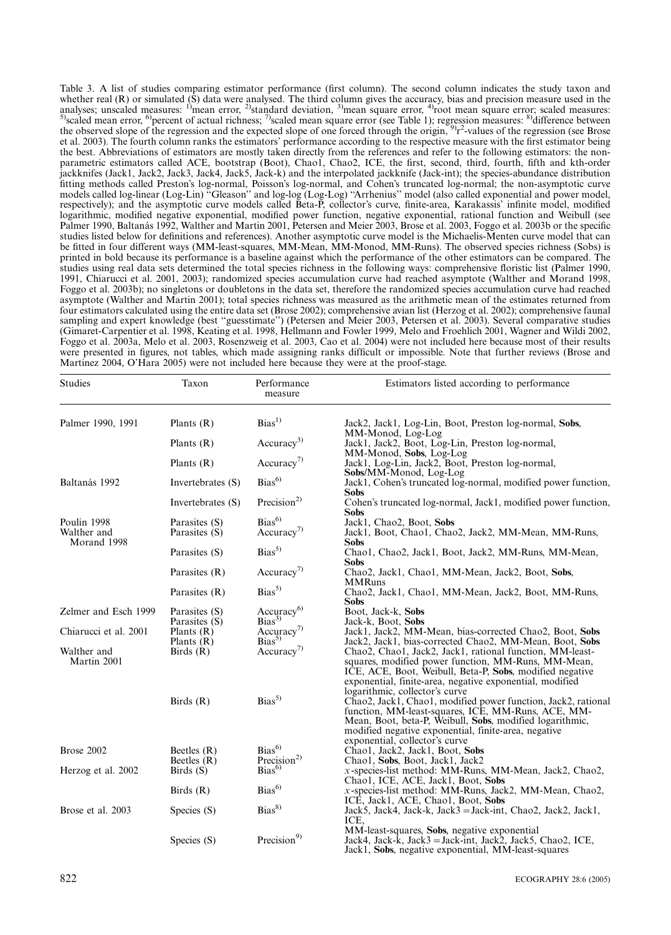Table 3. A list of studies comparing estimator performance (first column). The second column indicates the study taxon and whether real (R) or simulated (S) data were analysed. The third column gives the accuracy, bias and precision measure used in the analyses: unscaled measures:  $^{1}$  mean error. <sup>2</sup>) standard deviation. <sup>3</sup> mean square err analyses; unscaled measures: <sup>1</sup>) mean error, <sup>2)</sup>standard deviation, <sup>3</sup>) mean square error, <sup>4</sup> root mean square error; scaled measures: <sup>5</sup>)scaled mean error, 6<sup>5</sup> percent of actual richness; <sup>7</sup>)scaled mean square erro the observed slope of the regression and the expected slope of one forced through the origin,  $9r^2$ -values of the regression (see Brose et al. 2003). The fourth column ranks the estimators' performance according to the respective measure with the first estimator being the best. Abbreviations of estimators are mostly taken directly from the references and refer to the following estimators: the nonparametric estimators called ACE, bootstrap (Boot), Chao1, Chao2, ICE, the first, second, third, fourth, fifth and kth-order jackknifes (Jack1, Jack2, Jack3, Jack4, Jack5, Jack-k) and the interpolated jackknife (Jack-int); the species-abundance distribution fitting methods called Preston's log-normal, Poisson's log-normal, and Cohen's truncated log-normal; the non-asymptotic curve models called log-linear (Log-Lin) ''Gleason'' and log-log (Log-Log) ''Arrhenius'' model (also called exponential and power model, respectively); and the asymptotic curve models called Beta-P, collector's curve, finite-area, Karakassis' infinite model, modified logarithmic, modified negative exponential, modified power function, negative exponential, rational function and Weibull (see Palmer 1990, Baltanás 1992, Walther and Martin 2001, Petersen and Meier 2003, Brose et al. 2003, Foggo et al. 2003b or the specific studies listed below for definitions and references). Another asymptotic curve model is the Michaelis-Menten curve model that can be fitted in four different ways (MM-least-squares, MM-Mean, MM-Monod, MM-Runs). The observed species richness (Sobs) is printed in bold because its performance is a baseline against which the performance of the other estimators can be compared. The studies using real data sets determined the total species richness in the following ways: comprehensive floristic list (Palmer 1990, 1991, Chiarucci et al. 2001, 2003); randomized species accumulation curve had reached asymptote (Walther and Morand 1998, Foggo et al. 2003b); no singletons or doubletons in the data set, therefore the randomized species accumulation curve had reached asymptote (Walther and Martin 2001); total species richness was measured as the arithmetic mean of the estimates returned from four estimators calculated using the entire data set (Brose 2002); comprehensive avian list (Herzog et al. 2002); comprehensive faunal sampling and expert knowledge (best ''guesstimate'') (Petersen and Meier 2003, Petersen et al. 2003). Several comparative studies (Gimaret-Carpentier et al. 1998, Keating et al. 1998, Hellmann and Fowler 1999, Melo and Froehlich 2001, Wagner and Wildi 2002, Foggo et al. 2003a, Melo et al. 2003, Rosenzweig et al. 2003, Cao et al. 2004) were not included here because most of their results were presented in figures, not tables, which made assigning ranks difficult or impossible. Note that further reviews (Brose and Martinez 2004, O'Hara 2005) were not included here because they were at the proof-stage.

| Studies                    | Taxon                         | Performance<br>measure                       | Estimators listed according to performance                                                                                                                                                                                                                                                                                                                              |
|----------------------------|-------------------------------|----------------------------------------------|-------------------------------------------------------------------------------------------------------------------------------------------------------------------------------------------------------------------------------------------------------------------------------------------------------------------------------------------------------------------------|
| Palmer 1990, 1991          | Plants $(R)$                  | $Bias^{1}$                                   | Jack2, Jack1, Log-Lin, Boot, Preston log-normal, Sobs,<br>MM-Monod, Log-Log                                                                                                                                                                                                                                                                                             |
|                            | Plants $(R)$                  | Accuracy <sup>3</sup>                        | Jack1, Jack2, Boot, Log-Lin, Preston log-normal,<br>MM-Monod, Sobs, Log-Log                                                                                                                                                                                                                                                                                             |
|                            | Plants $(R)$                  | Accuracy <sup>7)</sup>                       | Jack1, Log-Lin, Jack2, Boot, Preston log-normal,<br>Sobs/MM-Monod, Log-Log                                                                                                                                                                                                                                                                                              |
| Baltanás 1992              | Invertebrates (S)             | $Bias^{6}$                                   | Jack1, Cohen's truncated log-normal, modified power function,<br><b>Sobs</b>                                                                                                                                                                                                                                                                                            |
|                            | Invertebrates (S)             | Precision <sup>2)</sup>                      | Cohen's truncated log-normal, Jack1, modified power function,<br>Sobs                                                                                                                                                                                                                                                                                                   |
| Poulin 1998                | Parasites (S)                 | $Bias^{6}$                                   | Jack1, Chao2, Boot, Sobs                                                                                                                                                                                                                                                                                                                                                |
| Walther and<br>Morand 1998 | Parasites (S)                 | Accuracy <sup>7)</sup>                       | Jack1, Boot, Chao1, Chao2, Jack2, MM-Mean, MM-Runs,<br>Sobs                                                                                                                                                                                                                                                                                                             |
|                            | Parasites (S)                 | $Bias^{5}$                                   | Chao1, Chao2, Jack1, Boot, Jack2, MM-Runs, MM-Mean,<br>Sobs                                                                                                                                                                                                                                                                                                             |
|                            | Parasites $(R)$               | Accuracy <sup>7)</sup>                       | Chao2, Jack1, Chao1, MM-Mean, Jack2, Boot, Sobs,                                                                                                                                                                                                                                                                                                                        |
|                            | Parasites $(R)$               | $Bias^{5}$                                   | MMRuns<br>Chao2, Jack1, Chao1, MM-Mean, Jack2, Boot, MM-Runs,                                                                                                                                                                                                                                                                                                           |
| Zelmer and Esch 1999       | Parasites (S)                 | Accuracy <sup>6)</sup><br>Bias <sup>3)</sup> | Sobs<br>Boot, Jack-k, Sobs                                                                                                                                                                                                                                                                                                                                              |
| Chiarucci et al. 2001      | Parasites (S)<br>Plants $(R)$ | Accuracy <sup>7)</sup><br>Bias <sup>5)</sup> | Jack-k, Boot, Sobs<br>Jack1, Jack2, MM-Mean, bias-corrected Chao2, Boot, Sobs                                                                                                                                                                                                                                                                                           |
| Walther and<br>Martin 2001 | Plants $(R)$<br>Birds $(R)$   | Accuracy <sup>7)</sup>                       | Jack2, Jack1, bias-corrected Chao2, MM-Mean, Boot, Sobs<br>Chao2, Chao1, Jack2, Jack1, rational function, MM-least-<br>squares, modified power function, MM-Runs, MM-Mean,<br>ICE, ACE, Boot, Weibull, Beta-P, Sobs, modified negative                                                                                                                                  |
|                            | Birds $(R)$                   | $Bias^{5}$                                   | exponential, finite-area, negative exponential, modified<br>logarithmic, collector's curve<br>Chao2, Jack1, Chao1, modified power function, Jack2, rational<br>function, MM-least-squares, ICE, MM-Runs, ACE, MM-<br>Mean, Boot, beta-P, Weibull, Sobs, modified logarithmic,<br>modified negative exponential, finite-area, negative<br>exponential, collector's curve |
| Brose 2002                 | Beetles $(R)$                 | $Bias^{6}$                                   | Chao1, Jack2, Jack1, Boot, Sobs                                                                                                                                                                                                                                                                                                                                         |
|                            | Beetles $(R)$                 | Precision <sup>2)</sup>                      | Chaol, Sobs, Boot, Jack1, Jack2                                                                                                                                                                                                                                                                                                                                         |
| Herzog et al. 2002         | Birds $(S)$                   | $Bias^6$                                     | x-species-list method: MM-Runs, MM-Mean, Jack2, Chao2,<br>Chao1, ICE, ACE, Jack1, Boot, Sobs                                                                                                                                                                                                                                                                            |
|                            | Birds $(R)$                   | $Bias^6$                                     | x-species-list method: MM-Runs, Jack2, MM-Mean, Chao2,                                                                                                                                                                                                                                                                                                                  |
| Brose et al. 2003          | Species $(S)$                 | $Bias^{8}$                                   | ICE, Jack1, ACE, Chao1, Boot, Sobs<br>Jack5, Jack4, Jack-k, Jack3 = Jack-int, Chao2, Jack2, Jack1,<br>ICE,                                                                                                                                                                                                                                                              |
|                            | Species $(S)$                 | Precision <sup>9)</sup>                      | MM-least-squares, Sobs, negative exponential<br>Jack4, Jack-k, Jack3 = Jack-int, Jack2, Jack5, Chao2, ICE,<br>Jack1, Sobs, negative exponential, MM-least-squares                                                                                                                                                                                                       |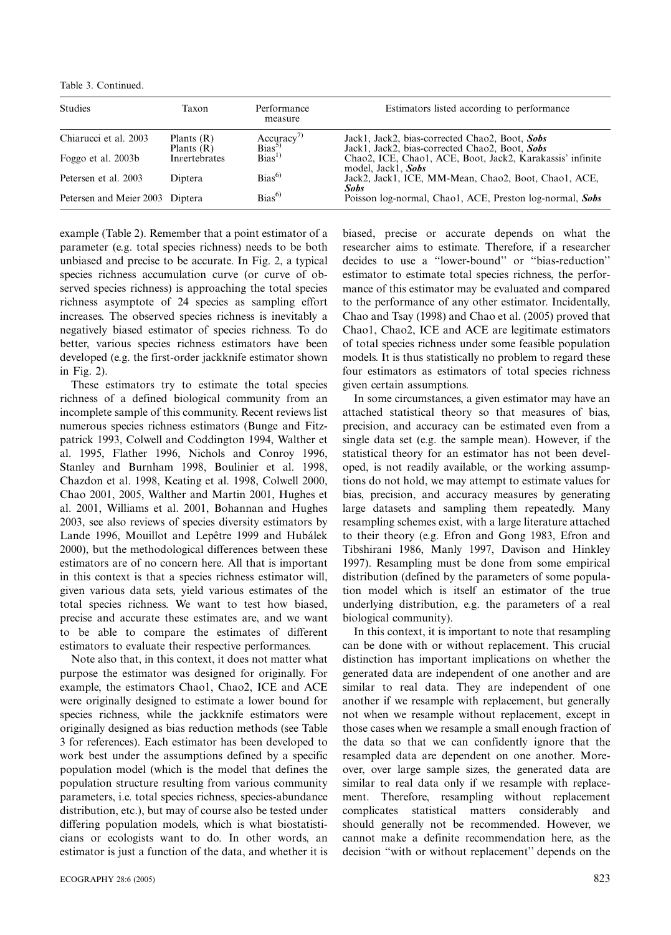Table 3. Continued.

| Studies                         | Taxon                         | Performance<br>measure                       | Estimators listed according to performance                                                                  |
|---------------------------------|-------------------------------|----------------------------------------------|-------------------------------------------------------------------------------------------------------------|
| Chiarucci et al. 2003           | Plants $(R)$                  | Accuracy <sup>7)</sup><br>Bias <sup>5)</sup> | Jack1, Jack2, bias-corrected Chao2, Boot, Sobs                                                              |
| Foggo et al. 2003b              | Plants $(R)$<br>Invertebrates | $Bias^{1}$                                   | Jack1, Jack2, bias-corrected Chao2, Boot, Sobs<br>Chao2, ICE, Chao1, ACE, Boot, Jack2, Karakassis' infinite |
| Petersen et al. 2003            | Diptera                       | $Bias^6$                                     | model. Jack1. Sobs<br>Jack2, Jack1, ICE, MM-Mean, Chao2, Boot, Chao1, ACE,                                  |
| Petersen and Meier 2003 Diptera |                               | $Bias^6$                                     | Sobs<br>Poisson log-normal, Chao1, ACE, Preston log-normal, Sobs                                            |

example (Table 2). Remember that a point estimator of a parameter (e.g. total species richness) needs to be both unbiased and precise to be accurate. In Fig. 2, a typical species richness accumulation curve (or curve of observed species richness) is approaching the total species richness asymptote of 24 species as sampling effort increases. The observed species richness is inevitably a negatively biased estimator of species richness. To do better, various species richness estimators have been developed (e.g. the first-order jackknife estimator shown in Fig. 2).

These estimators try to estimate the total species richness of a defined biological community from an incomplete sample of this community. Recent reviews list numerous species richness estimators (Bunge and Fitzpatrick 1993, Colwell and Coddington 1994, Walther et al. 1995, Flather 1996, Nichols and Conroy 1996, Stanley and Burnham 1998, Boulinier et al. 1998, Chazdon et al. 1998, Keating et al. 1998, Colwell 2000, Chao 2001, 2005, Walther and Martin 2001, Hughes et al. 2001, Williams et al. 2001, Bohannan and Hughes 2003, see also reviews of species diversity estimators by Lande 1996, Mouillot and Lepêtre 1999 and Hubálek 2000), but the methodological differences between these estimators are of no concern here. All that is important in this context is that a species richness estimator will, given various data sets, yield various estimates of the total species richness. We want to test how biased, precise and accurate these estimates are, and we want to be able to compare the estimates of different estimators to evaluate their respective performances.

Note also that, in this context, it does not matter what purpose the estimator was designed for originally. For example, the estimators Chao1, Chao2, ICE and ACE were originally designed to estimate a lower bound for species richness, while the jackknife estimators were originally designed as bias reduction methods (see Table 3 for references). Each estimator has been developed to work best under the assumptions defined by a specific population model (which is the model that defines the population structure resulting from various community parameters, i.e. total species richness, species-abundance distribution, etc.), but may of course also be tested under differing population models, which is what biostatisticians or ecologists want to do. In other words, an estimator is just a function of the data, and whether it is

ECOGRAPHY 28:6 (2005) 823

biased, precise or accurate depends on what the researcher aims to estimate. Therefore, if a researcher decides to use a ''lower-bound'' or ''bias-reduction'' estimator to estimate total species richness, the performance of this estimator may be evaluated and compared to the performance of any other estimator. Incidentally, Chao and Tsay (1998) and Chao et al. (2005) proved that Chao1, Chao2, ICE and ACE are legitimate estimators of total species richness under some feasible population models. It is thus statistically no problem to regard these four estimators as estimators of total species richness given certain assumptions.

In some circumstances, a given estimator may have an attached statistical theory so that measures of bias, precision, and accuracy can be estimated even from a single data set (e.g. the sample mean). However, if the statistical theory for an estimator has not been developed, is not readily available, or the working assumptions do not hold, we may attempt to estimate values for bias, precision, and accuracy measures by generating large datasets and sampling them repeatedly. Many resampling schemes exist, with a large literature attached to their theory (e.g. Efron and Gong 1983, Efron and Tibshirani 1986, Manly 1997, Davison and Hinkley 1997). Resampling must be done from some empirical distribution (defined by the parameters of some population model which is itself an estimator of the true underlying distribution, e.g. the parameters of a real biological community).

In this context, it is important to note that resampling can be done with or without replacement. This crucial distinction has important implications on whether the generated data are independent of one another and are similar to real data. They are independent of one another if we resample with replacement, but generally not when we resample without replacement, except in those cases when we resample a small enough fraction of the data so that we can confidently ignore that the resampled data are dependent on one another. Moreover, over large sample sizes, the generated data are similar to real data only if we resample with replacement. Therefore, resampling without replacement complicates statistical matters considerably and should generally not be recommended. However, we cannot make a definite recommendation here, as the decision ''with or without replacement'' depends on the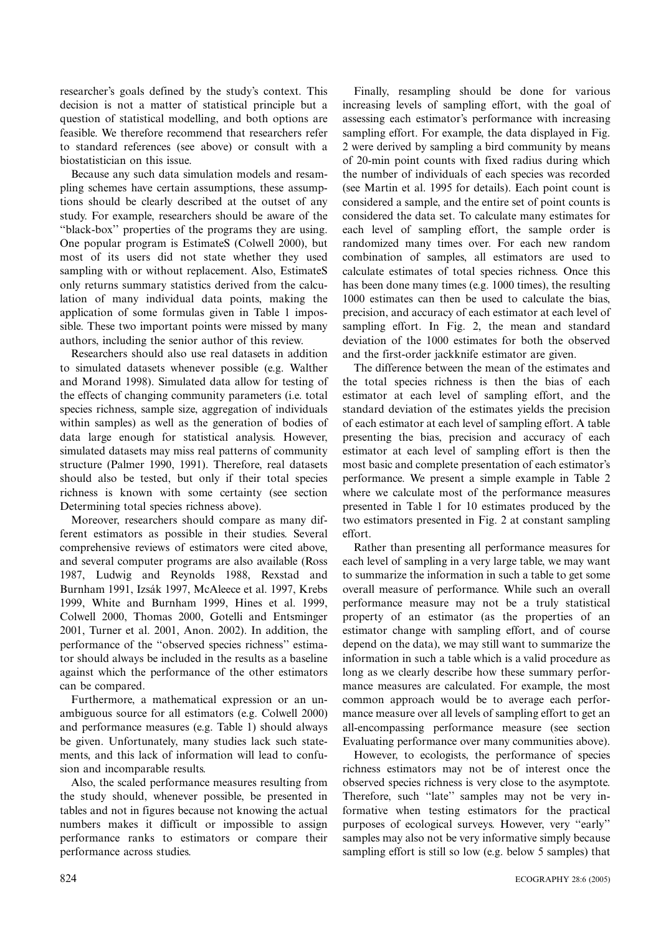researcher's goals defined by the study's context. This decision is not a matter of statistical principle but a question of statistical modelling, and both options are feasible. We therefore recommend that researchers refer to standard references (see above) or consult with a biostatistician on this issue.

Because any such data simulation models and resampling schemes have certain assumptions, these assumptions should be clearly described at the outset of any study. For example, researchers should be aware of the ''black-box'' properties of the programs they are using. One popular program is EstimateS (Colwell 2000), but most of its users did not state whether they used sampling with or without replacement. Also, EstimateS only returns summary statistics derived from the calculation of many individual data points, making the application of some formulas given in Table 1 impossible. These two important points were missed by many authors, including the senior author of this review.

Researchers should also use real datasets in addition to simulated datasets whenever possible (e.g. Walther and Morand 1998). Simulated data allow for testing of the effects of changing community parameters (i.e. total species richness, sample size, aggregation of individuals within samples) as well as the generation of bodies of data large enough for statistical analysis. However, simulated datasets may miss real patterns of community structure (Palmer 1990, 1991). Therefore, real datasets should also be tested, but only if their total species richness is known with some certainty (see section Determining total species richness above).

Moreover, researchers should compare as many different estimators as possible in their studies. Several comprehensive reviews of estimators were cited above, and several computer programs are also available (Ross 1987, Ludwig and Reynolds 1988, Rexstad and Burnham 1991, Izsák 1997, McAleece et al. 1997, Krebs 1999, White and Burnham 1999, Hines et al. 1999, Colwell 2000, Thomas 2000, Gotelli and Entsminger 2001, Turner et al. 2001, Anon. 2002). In addition, the performance of the ''observed species richness'' estimator should always be included in the results as a baseline against which the performance of the other estimators can be compared.

Furthermore, a mathematical expression or an unambiguous source for all estimators (e.g. Colwell 2000) and performance measures (e.g. Table 1) should always be given. Unfortunately, many studies lack such statements, and this lack of information will lead to confusion and incomparable results.

Also, the scaled performance measures resulting from the study should, whenever possible, be presented in tables and not in figures because not knowing the actual numbers makes it difficult or impossible to assign performance ranks to estimators or compare their performance across studies.

Finally, resampling should be done for various increasing levels of sampling effort, with the goal of assessing each estimator's performance with increasing sampling effort. For example, the data displayed in Fig. 2 were derived by sampling a bird community by means of 20-min point counts with fixed radius during which the number of individuals of each species was recorded (see Martin et al. 1995 for details). Each point count is considered a sample, and the entire set of point counts is considered the data set. To calculate many estimates for each level of sampling effort, the sample order is randomized many times over. For each new random combination of samples, all estimators are used to calculate estimates of total species richness. Once this has been done many times (e.g. 1000 times), the resulting 1000 estimates can then be used to calculate the bias, precision, and accuracy of each estimator at each level of sampling effort. In Fig. 2, the mean and standard deviation of the 1000 estimates for both the observed and the first-order jackknife estimator are given.

The difference between the mean of the estimates and the total species richness is then the bias of each estimator at each level of sampling effort, and the standard deviation of the estimates yields the precision of each estimator at each level of sampling effort. A table presenting the bias, precision and accuracy of each estimator at each level of sampling effort is then the most basic and complete presentation of each estimator's performance. We present a simple example in Table 2 where we calculate most of the performance measures presented in Table 1 for 10 estimates produced by the two estimators presented in Fig. 2 at constant sampling effort.

Rather than presenting all performance measures for each level of sampling in a very large table, we may want to summarize the information in such a table to get some overall measure of performance. While such an overall performance measure may not be a truly statistical property of an estimator (as the properties of an estimator change with sampling effort, and of course depend on the data), we may still want to summarize the information in such a table which is a valid procedure as long as we clearly describe how these summary performance measures are calculated. For example, the most common approach would be to average each performance measure over all levels of sampling effort to get an all-encompassing performance measure (see section Evaluating performance over many communities above).

However, to ecologists, the performance of species richness estimators may not be of interest once the observed species richness is very close to the asymptote. Therefore, such "late" samples may not be very informative when testing estimators for the practical purposes of ecological surveys. However, very ''early'' samples may also not be very informative simply because sampling effort is still so low (e.g. below 5 samples) that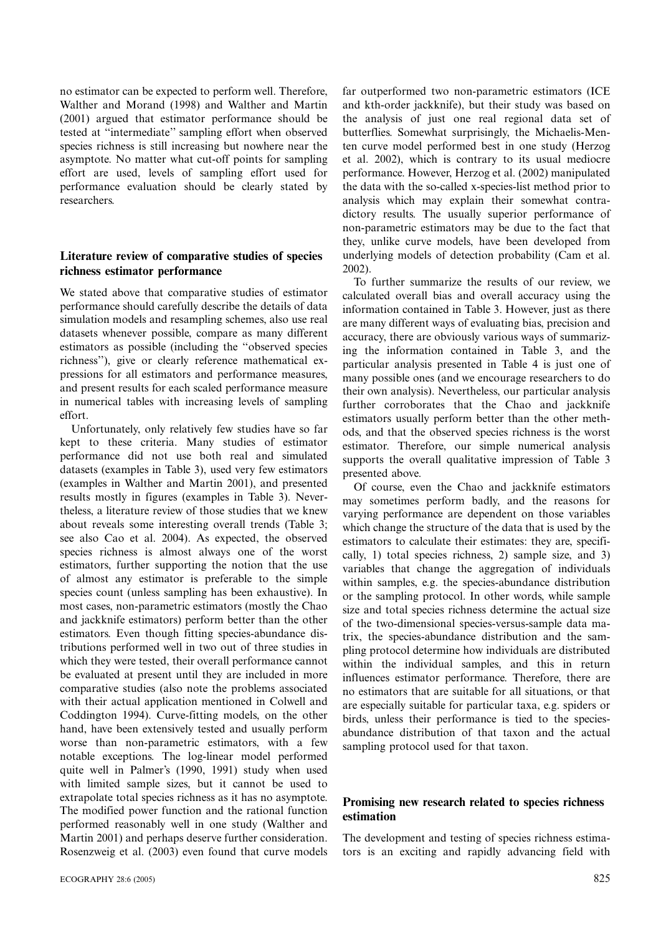no estimator can be expected to perform well. Therefore, Walther and Morand (1998) and Walther and Martin (2001) argued that estimator performance should be tested at ''intermediate'' sampling effort when observed species richness is still increasing but nowhere near the asymptote. No matter what cut-off points for sampling effort are used, levels of sampling effort used for performance evaluation should be clearly stated by researchers.

# Literature review of comparative studies of species richness estimator performance

We stated above that comparative studies of estimator performance should carefully describe the details of data simulation models and resampling schemes, also use real datasets whenever possible, compare as many different estimators as possible (including the ''observed species richness''), give or clearly reference mathematical expressions for all estimators and performance measures, and present results for each scaled performance measure in numerical tables with increasing levels of sampling effort.

Unfortunately, only relatively few studies have so far kept to these criteria. Many studies of estimator performance did not use both real and simulated datasets (examples in Table 3), used very few estimators (examples in Walther and Martin 2001), and presented results mostly in figures (examples in Table 3). Nevertheless, a literature review of those studies that we knew about reveals some interesting overall trends (Table 3; see also Cao et al. 2004). As expected, the observed species richness is almost always one of the worst estimators, further supporting the notion that the use of almost any estimator is preferable to the simple species count (unless sampling has been exhaustive). In most cases, non-parametric estimators (mostly the Chao and jackknife estimators) perform better than the other estimators. Even though fitting species-abundance distributions performed well in two out of three studies in which they were tested, their overall performance cannot be evaluated at present until they are included in more comparative studies (also note the problems associated with their actual application mentioned in Colwell and Coddington 1994). Curve-fitting models, on the other hand, have been extensively tested and usually perform worse than non-parametric estimators, with a few notable exceptions. The log-linear model performed quite well in Palmer's (1990, 1991) study when used with limited sample sizes, but it cannot be used to extrapolate total species richness as it has no asymptote. The modified power function and the rational function performed reasonably well in one study (Walther and Martin 2001) and perhaps deserve further consideration. Rosenzweig et al. (2003) even found that curve models far outperformed two non-parametric estimators (ICE and kth-order jackknife), but their study was based on the analysis of just one real regional data set of butterflies. Somewhat surprisingly, the Michaelis-Menten curve model performed best in one study (Herzog et al. 2002), which is contrary to its usual mediocre performance. However, Herzog et al. (2002) manipulated the data with the so-called x-species-list method prior to analysis which may explain their somewhat contradictory results. The usually superior performance of non-parametric estimators may be due to the fact that they, unlike curve models, have been developed from underlying models of detection probability (Cam et al. 2002).

To further summarize the results of our review, we calculated overall bias and overall accuracy using the information contained in Table 3. However, just as there are many different ways of evaluating bias, precision and accuracy, there are obviously various ways of summarizing the information contained in Table 3, and the particular analysis presented in Table 4 is just one of many possible ones (and we encourage researchers to do their own analysis). Nevertheless, our particular analysis further corroborates that the Chao and jackknife estimators usually perform better than the other methods, and that the observed species richness is the worst estimator. Therefore, our simple numerical analysis supports the overall qualitative impression of Table 3 presented above.

Of course, even the Chao and jackknife estimators may sometimes perform badly, and the reasons for varying performance are dependent on those variables which change the structure of the data that is used by the estimators to calculate their estimates: they are, specifically, 1) total species richness, 2) sample size, and 3) variables that change the aggregation of individuals within samples, e.g. the species-abundance distribution or the sampling protocol. In other words, while sample size and total species richness determine the actual size of the two-dimensional species-versus-sample data matrix, the species-abundance distribution and the sampling protocol determine how individuals are distributed within the individual samples, and this in return influences estimator performance. Therefore, there are no estimators that are suitable for all situations, or that are especially suitable for particular taxa, e.g. spiders or birds, unless their performance is tied to the speciesabundance distribution of that taxon and the actual sampling protocol used for that taxon.

# Promising new research related to species richness estimation

The development and testing of species richness estimators is an exciting and rapidly advancing field with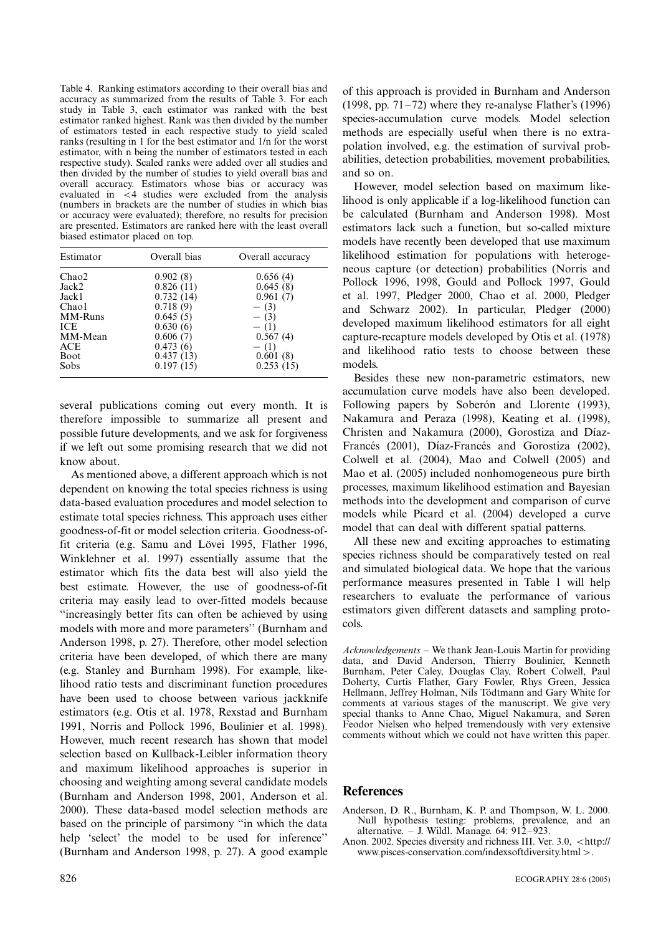Table 4. Ranking estimators according to their overall bias and accuracy as summarized from the results of Table 3. For each study in Table 3, each estimator was ranked with the best estimator ranked highest. Rank was then divided by the number of estimators tested in each respective study to yield scaled ranks (resulting in 1 for the best estimator and 1/n for the worst estimator, with n being the number of estimators tested in each respective study). Scaled ranks were added over all studies and then divided by the number of studies to yield overall bias and overall accuracy. Estimators whose bias or accuracy was evaluated in  $\leq 4$  studies were excluded from the analysis (numbers in brackets are the number of studies in which bias or accuracy were evaluated); therefore, no results for precision are presented. Estimators are ranked here with the least overall biased estimator placed on top.

| Estimator   | Overall bias | Overall accuracy |
|-------------|--------------|------------------|
| Chao2       | 0.902(8)     | 0.656(4)         |
| Jack2       | 0.826(11)    | 0.645(8)         |
| Jack1       | 0.732(14)    | 0.961(7)         |
| Chaol       | 0.718(9)     | $-$ (3)          |
| MM-Runs     | 0.645(5)     | $-$ (3)          |
| <b>ICE</b>  | 0.630(6)     | $-$ (1)          |
| MM-Mean     | 0.606(7)     | 0.567(4)         |
| ACE         | 0.473(6)     | $-$ (1)          |
| <b>Boot</b> | 0.437(13)    | 0.601(8)         |
| Sobs        | 0.197(15)    | 0.253(15)        |

several publications coming out every month. It is therefore impossible to summarize all present and possible future developments, and we ask for forgiveness if we left out some promising research that we did not know about.

As mentioned above, a different approach which is not dependent on knowing the total species richness is using data-based evaluation procedures and model selection to estimate total species richness. This approach uses either goodness-of-fit or model selection criteria. Goodness-offit criteria (e.g. Samu and Lövei 1995, Flather 1996, Winklehner et al. 1997) essentially assume that the estimator which fits the data best will also yield the best estimate. However, the use of goodness-of-fit criteria may easily lead to over-fitted models because ''increasingly better fits can often be achieved by using models with more and more parameters'' (Burnham and Anderson 1998, p. 27). Therefore, other model selection criteria have been developed, of which there are many (e.g. Stanley and Burnham 1998). For example, likelihood ratio tests and discriminant function procedures have been used to choose between various jackknife estimators (e.g. Otis et al. 1978, Rexstad and Burnham 1991, Norris and Pollock 1996, Boulinier et al. 1998). However, much recent research has shown that model selection based on Kullback-Leibler information theory and maximum likelihood approaches is superior in choosing and weighting among several candidate models (Burnham and Anderson 1998, 2001, Anderson et al. 2000). These data-based model selection methods are based on the principle of parsimony ''in which the data help 'select' the model to be used for inference'' (Burnham and Anderson 1998, p. 27). A good example of this approach is provided in Burnham and Anderson (1998, pp.  $71-72$ ) where they re-analyse Flather's (1996) species-accumulation curve models. Model selection methods are especially useful when there is no extrapolation involved, e.g. the estimation of survival probabilities, detection probabilities, movement probabilities, and so on.

However, model selection based on maximum likelihood is only applicable if a log-likelihood function can be calculated (Burnham and Anderson 1998). Most estimators lack such a function, but so-called mixture models have recently been developed that use maximum likelihood estimation for populations with heterogeneous capture (or detection) probabilities (Norris and Pollock 1996, 1998, Gould and Pollock 1997, Gould et al. 1997, Pledger 2000, Chao et al. 2000, Pledger and Schwarz 2002). In particular, Pledger (2000) developed maximum likelihood estimators for all eight capture-recapture models developed by Otis et al. (1978) and likelihood ratio tests to choose between these models.

Besides these new non-parametric estimators, new accumulation curve models have also been developed. Following papers by Soberon and Llorente (1993), Nakamura and Peraza (1998), Keating et al. (1998), Christen and Nakamura (2000), Gorostiza and Díaz-Francés (2001), Díaz-Francés and Gorostiza (2002), Colwell et al. (2004), Mao and Colwell (2005) and Mao et al. (2005) included nonhomogeneous pure birth processes, maximum likelihood estimation and Bayesian methods into the development and comparison of curve models while Picard et al. (2004) developed a curve model that can deal with different spatial patterns.

All these new and exciting approaches to estimating species richness should be comparatively tested on real and simulated biological data. We hope that the various performance measures presented in Table 1 will help researchers to evaluate the performance of various estimators given different datasets and sampling protocols.

 $Acknowledgements$  – We thank Jean-Louis Martin for providing data, and David Anderson, Thierry Boulinier, Kenneth Burnham, Peter Caley, Douglas Clay, Robert Colwell, Paul Doherty, Curtis Flather, Gary Fowler, Rhys Green, Jessica Hellmann, Jeffrey Holman, Nils Tödtmann and Gary White for comments at various stages of the manuscript. We give very special thanks to Anne Chao, Miguel Nakamura, and Søren Feodor Nielsen who helped tremendously with very extensive comments without which we could not have written this paper.

# References

- Anderson, D. R., Burnham, K. P. and Thompson, W. L. 2000. Null hypothesis testing: problems, prevalence, and an alternative. - J. Wildl. Manage.  $64: 912-923$ .
- Anon. 2002. Species diversity and richness III. Ver. 3.0, <http:// www.pisces-conservation.com/indexsoftdiversity.html/.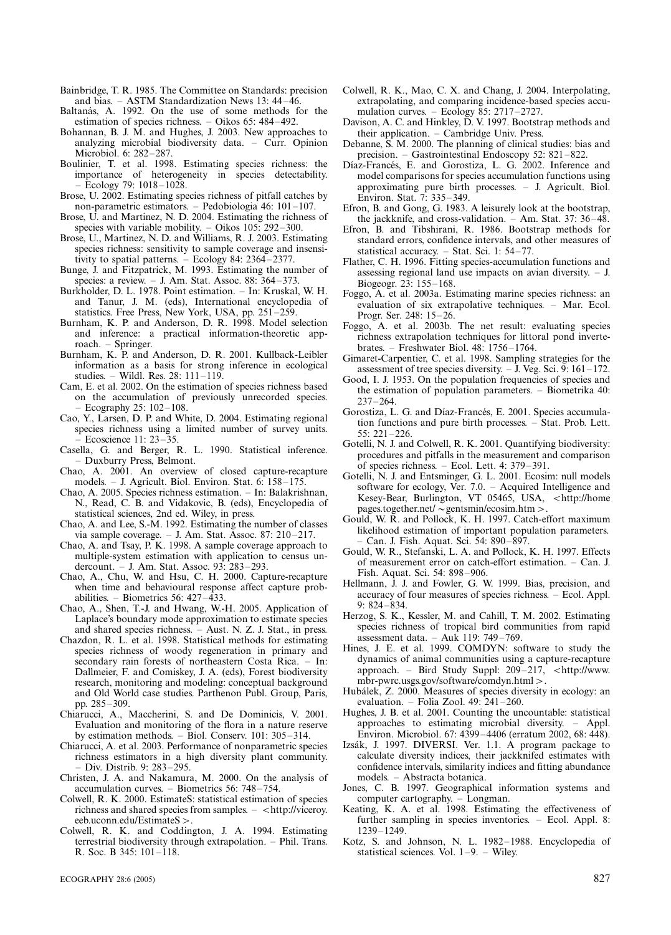- Bainbridge, T. R. 1985. The Committee on Standards: precision and bias.  $-$  ASTM Standardization News 13: 44 $-46$ .
- Baltanás, A. 1992. On the use of some methods for the estimation of species richness.  $-$  Oikos 65: 484-492.
- Bohannan, B. J. M. and Hughes, J. 2003. New approaches to analyzing microbial biodiversity data. -  $Curr$ . Opinion Microbiol. 6: 282-287.
- Boulinier, T. et al. 1998. Estimating species richness: the importance of heterogeneity in species detectability.  $-$  Ecology 79: 1018–1028.
- Brose, U. 2002. Estimating species richness of pitfall catches by non-parametric estimators. - Pedobiologia 46:  $101-107$ .
- Brose, U. and Martinez, N. D. 2004. Estimating the richness of species with variable mobility. – Oikos  $105: 292-300$ .
- Brose, U., Martinez, N. D. and Williams, R. J. 2003. Estimating species richness: sensitivity to sample coverage and insensitivity to spatial patterns.  $-$  Ecology 84: 2364 $-$ 2377.
- Bunge, J. and Fitzpatrick, M. 1993. Estimating the number of species: a review. – J. Am. Stat. Assoc. 88:  $364-373$ .
- Burkholder, D. L. 1978. Point estimation. In: Kruskal, W. H. and Tanur, J. M. (eds), International encyclopedia of statistics. Free Press, New York, USA, pp. 251-259.
- Burnham, K. P. and Anderson, D. R. 1998. Model selection and inference: a practical information-theoretic approach. - Springer.
- Burnham, K. P. and Anderson, D. R. 2001. Kullback-Leibler information as a basis for strong inference in ecological studies. - Wildl. Res. 28:  $111 - 119$ .
- Cam, E. et al. 2002. On the estimation of species richness based on the accumulation of previously unrecorded species.  $-$  Ecography 25: 102-108.
- Cao, Y., Larsen, D. P. and White, D. 2004. Estimating regional species richness using a limited number of survey units.  $-$  Ecoscience 11: 23 $-35$ .
- Casella, G. and Berger, R. L. 1990. Statistical inference. - Duxburry Press, Belmont.
- Chao, A. 2001. An overview of closed capture-recapture models. – J. Agricult. Biol. Environ. Stat. 6:  $158-175$ .
- Chao, A. 2005. Species richness estimation. In: Balakrishnan, N., Read, C. B. and Vidakovic, B. (eds), Encyclopedia of statistical sciences, 2nd ed. Wiley, in press.
- Chao, A. and Lee, S.-M. 1992. Estimating the number of classes via sample coverage.  $-$  J. Am. Stat. Assoc. 87: 210 $-217$ .
- Chao, A. and Tsay, P. K. 1998. A sample coverage approach to multiple-system estimation with application to census undercount. - J. Am. Stat. Assoc.  $93: 283-293$ .
- Chao, A., Chu, W. and Hsu, C. H. 2000. Capture-recapture when time and behavioural response affect capture probabilities. – Biometrics 56: 427–433.
- Chao, A., Shen, T.-J. and Hwang, W.-H. 2005. Application of Laplace's boundary mode approximation to estimate species and shared species richness. - Aust. N. Z. J. Stat., in press.
- Chazdon, R. L. et al. 1998. Statistical methods for estimating species richness of woody regeneration in primary and secondary rain forests of northeastern Costa Rica.  $-$  In: Dallmeier, F. and Comiskey, J. A. (eds), Forest biodiversity research, monitoring and modeling: conceptual background and Old World case studies. Parthenon Publ. Group, Paris, pp. 285-309.
- Chiarucci, A., Maccherini, S. and De Dominicis, V. 2001. Evaluation and monitoring of the flora in a nature reserve by estimation methods.  $-$  Biol. Conserv. 101: 305 $-314$ .
- Chiarucci, A. et al. 2003. Performance of nonparametric species richness estimators in a high diversity plant community. Div. Distrib. 9: 283-295.
- Christen, J. A. and Nakamura, M. 2000. On the analysis of accumulation curves.  $-$  Biometrics 56: 748-754.
- Colwell, R. K. 2000. EstimateS: statistical estimation of species richness and shared species from samples.  $-$  <http://viceroy. eeb.uconn.edu/EstimateS >.
- Colwell, R. K. and Coddington, J. A. 1994. Estimating terrestrial biodiversity through extrapolation. - Phil. Trans. R. Soc. B 345: 101-118.
- Colwell, R. K., Mao, C. X. and Chang, J. 2004. Interpolating, extrapolating, and comparing incidence-based species accumulation curves. - Ecology 85: 2717-2727.
- Davison, A. C. and Hinkley, D. V. 1997. Bootstrap methods and their application.  $-$  Cambridge Univ. Press.
- Debanne, S. M. 2000. The planning of clinical studies: bias and precision. - Gastrointestinal Endoscopy 52: 821-822.
- Díaz-Francés, E. and Gorostiza, L. G. 2002. Inference and model comparisons for species accumulation functions using approximating pure birth processes.  $-$  J. Agricult. Biol. Environ. Stat. 7: 335-349.
- Efron, B. and Gong, G. 1983. A leisurely look at the bootstrap, the jackknife, and cross-validation.  $-$  Am. Stat. 37: 36-48.
- Efron, B. and Tibshirani, R. 1986. Bootstrap methods for standard errors, confidence intervals, and other measures of statistical accuracy.  $-$  Stat. Sci. 1: 54-77.
- Flather, C. H. 1996. Fitting species-accumulation functions and assessing regional land use impacts on avian diversity.  $-$  J. Biogeogr.  $23: 155 - 168$ .
- Foggo, A. et al. 2003a. Estimating marine species richness: an evaluation of six extrapolative techniques.  $-$  Mar. Ecol. Progr. Ser. 248: 15-26.
- Foggo, A. et al. 2003b. The net result: evaluating species richness extrapolation techniques for littoral pond invertebrates. - Freshwater Biol. 48: 1756-1764.
- Gimaret-Carpentier, C. et al. 1998. Sampling strategies for the assessment of tree species diversity.  $-$  J. Veg. Sci. 9: 161–172.
- Good, I. J. 1953. On the population frequencies of species and the estimation of population parameters.  $-$  Biometrika 40:  $237 - 264.$
- Gorostiza, L. G. and Díaz-Francés, E. 2001. Species accumulation functions and pure birth processes. - Stat. Prob. Lett. 55: 221-226.
- Gotelli, N. J. and Colwell, R. K. 2001. Quantifying biodiversity: procedures and pitfalls in the measurement and comparison of species richness.  $-$  Ecol. Lett. 4: 379-391.
- Gotelli, N. J. and Entsminger, G. L. 2001. Ecosim: null models software for ecology, Ver. 7.0. - Acquired Intelligence and Kesey-Bear, Burlington, VT 05465, USA, <http://home pages.together.net/ $\sim$ gentsmin/ecosim.htm  $>$ .
- Gould, W. R. and Pollock, K. H. 1997. Catch-effort maximum likelihood estimation of important population parameters. Can. J. Fish. Aquat. Sci. 54: 890-897.
- Gould, W. R., Stefanski, L. A. and Pollock, K. H. 1997. Effects of measurement error on catch-effort estimation. - Can. J. Fish. Aquat. Sci. 54: 898-906.
- Hellmann, J. J. and Fowler, G. W. 1999. Bias, precision, and accuracy of four measures of species richness. - Ecol. Appl.  $9: 824 - 834.$
- Herzog, S. K., Kessler, M. and Cahill, T. M. 2002. Estimating species richness of tropical bird communities from rapid assessment data.  $-$  Auk 119: 749 $-769$ .
- Hines, J. E. et al. 1999. COMDYN: software to study the dynamics of animal communities using a capture-recapture approach. - Bird Study Suppl:  $209-217$ , <http://www. mbr-pwrc.usgs.gov/software/comdyn.html >.
- Hubálek, Z. 2000. Measures of species diversity in ecology: an evaluation. – Folia Zool. 49:  $\tilde{2}41-260$ .
- Hughes, J. B. et al. 2001. Counting the uncountable: statistical approaches to estimating microbial diversity.  $-$  Appl. Environ. Microbiol. 67: 4399-4406 (erratum 2002, 68: 448).
- Izsák, J. 1997. DIVERSI. Ver. 1.1. A program package to calculate diversity indices, their jackknifed estimates with confidence intervals, similarity indices and fitting abundance models. - Abstracta botanica.
- Jones, C. B. 1997. Geographical information systems and computer cartography.  $\overline{\phantom{a}}$  Longman.
- Keating, K. A. et al. 1998. Estimating the effectiveness of further sampling in species inventories. - Ecol. Appl. 8: 1239-1249.
- Kotz, S. and Johnson, N. L. 1982-1988. Encyclopedia of statistical sciences. Vol.  $1 - 9$ . - Wiley.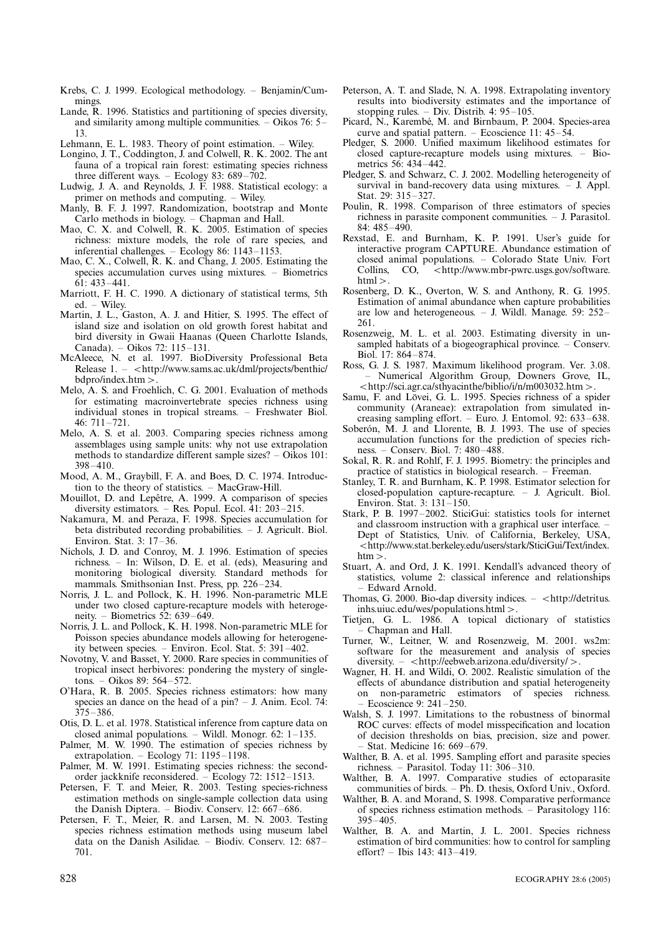- Krebs, C. J. 1999. Ecological methodology. Benjamin/Cummings.
- Lande, R. 1996. Statistics and partitioning of species diversity, and similarity among multiple communities.  $\overline{\phantom{a}}$  - Oikos 76: 5 – 13.
- Lehmann, E. L. 1983. Theory of point estimation. Wiley.
- Longino, J. T., Coddington, J. and Colwell, R. K. 2002. The ant fauna of a tropical rain forest: estimating species richness three different ways. - Ecology 83:  $689-702$ .
- Ludwig, J. A. and Reynolds, J. F. 1988. Statistical ecology: a primer on methods and computing. - Wiley.
- Manly, B. F. J. 1997. Randomization, bootstrap and Monte  $Carlo$  methods in biology.  $-$  Chapman and Hall.
- Mao, C. X. and Colwell, R. K. 2005. Estimation of species richness: mixture models, the role of rare species, and inferential challenges.  $-$  Ecology 86: 1143-1153.
- Mao, C. X., Colwell, R. K. and Chang, J. 2005. Estimating the species accumulation curves using mixtures.  $-$  Biometrics  $6\overline{1}$ : 433-441.
- Marriott, F. H. C. 1990. A dictionary of statistical terms, 5th ed. - Wiley.
- Martin, J. L., Gaston, A. J. and Hitier, S. 1995. The effect of island size and isolation on old growth forest habitat and bird diversity in Gwaii Haanas (Queen Charlotte Islands, Canada). - Oikos 72: 115-131.
- McAleece, N. et al. 1997. BioDiversity Professional Beta Release 1. - <http://www.sams.ac.uk/dml/projects/benthic/ bdpro/index.htm/.
- Melo, A. S. and Froehlich, C. G. 2001. Evaluation of methods for estimating macroinvertebrate species richness using individual stones in tropical streams. - Freshwater Biol. 46: 711-721.
- Melo, A. S. et al. 2003. Comparing species richness among assemblages using sample units: why not use extrapolation methods to standardize different sample sizes?  $-$  Oikos 101:  $398 - 410$ .
- Mood, A. M., Graybill, F. A. and Boes, D. C. 1974. Introduction to the theory of statistics.  $-$  MacGraw-Hill.
- Mouillot, D. and Lepêtre, A. 1999. A comparison of species diversity estimators. - Res. Popul. Ecol.  $41: 203-215$ .
- Nakamura, M. and Peraza, F. 1998. Species accumulation for beta distributed recording probabilities.  $-$  J. Agricult. Biol. Environ. Stat. 3: 17-36.
- Nichols, J. D. and Conroy, M. J. 1996. Estimation of species richness. - In: Wilson, D. E. et al. (eds), Measuring and monitoring biological diversity. Standard methods for mammals. Smithsonian Inst. Press, pp. 226-234.
- Norris, J. L. and Pollock, K. H. 1996. Non-parametric MLE under two closed capture-recapture models with heterogeneity. – Biometrics 52:  $639-649$ .
- Norris, J. L. and Pollock, K. H. 1998. Non-parametric MLE for Poisson species abundance models allowing for heterogeneity between species. – Environ. Ecol. Stat. 5:  $391-402$ .
- Novotny, V. and Basset, Y. 2000. Rare species in communities of tropical insect herbivores: pondering the mystery of singletons. – Oikos 89: 564–572.
- O'Hara, R. B. 2005. Species richness estimators: how many species an dance on the head of a pin? - J. Anim. Ecol. 74:  $375 - 386.$
- Otis, D. L. et al. 1978. Statistical inference from capture data on closed animal populations. – Wildl. Monogr.  $62: 1-135$ .
- Palmer, M. W. 1990. The estimation of species richness by extrapolation. - Ecology 71: 1195-1198.
- Palmer, M. W. 1991. Estimating species richness: the secondorder jackknife reconsidered. - Ecology 72: 1512-1513.
- Petersen, F. T. and Meier, R. 2003. Testing species-richness estimation methods on single-sample collection data using the Danish Diptera. - Biodiv. Conserv. 12:  $667-686$ .
- Petersen, F. T., Meier, R. and Larsen, M. N. 2003. Testing species richness estimation methods using museum label data on the Danish Asilidae. - Biodiv. Conserv. 12: 687-701.
- Peterson, A. T. and Slade, N. A. 1998. Extrapolating inventory results into biodiversity estimates and the importance of stopping rules. - Div. Distrib. 4:  $95-105$ .
- Picard, N., Karembé, M. and Birnbaum, P. 2004. Species-area curve and spatial pattern. – Ecoscience 11:  $45-54$ .
- Pledger, S. 2000. Unified maximum likelihood estimates for  $closed$  capture-recapture models using mixtures.  $-$  Biometrics 56: 434-442.
- Pledger, S. and Schwarz, C. J. 2002. Modelling heterogeneity of survival in band-recovery data using mixtures.  $-$  J. Appl. Stat. 29: 315-327.
- Poulin, R. 1998. Comparison of three estimators of species richness in parasite component communities.  $-$  J. Parasitol.  $84:485-490.$
- Rexstad, E. and Burnham, K. P. 1991. User's guide for interactive program CAPTURE. Abundance estimation of closed animal populations. – Colorado State Univ. Fort<br>Collins. CO. <http://www.mbr-pwrc.usgs.gov/software.  $\epsilon$ http://www.mbr-pwrc.usgs.gov/software.  $html$ .
- Rosenberg, D. K., Overton, W. S. and Anthony, R. G. 1995. Estimation of animal abundance when capture probabilities are low and heterogeneous. – J. Wildl. Manage. 59: 252– 261.
- Rosenzweig, M. L. et al. 2003. Estimating diversity in unsampled habitats of a biogeographical province.  $\sim$  Conserv. Biol. 17: 864-874.
- Ross, G. J. S. 1987. Maximum likelihood program. Ver. 3.08. / Numerical Algorithm Group, Downers Grove, IL,  $\text{Khtp:}/\text{sci.}$  agr.ca/sthyacinthe/biblio/i/n/m003032.htm  $\text{S.}$
- Samu, F. and Lövei, G. L. 1995. Species richness of a spider community (Araneae): extrapolation from simulated increasing sampling effort. - Euro. J. Entomol. 92: 633-638.
- Soberón, M. J. and Llorente, B. J. 1993. The use of species accumulation functions for the prediction of species richness. – Conserv. Biol. 7: 480–488.
- Sokal, R. R. and Rohlf, F. J. 1995. Biometry: the principles and practice of statistics in biological research. - Freeman.
- Stanley, T. R. and Burnham, K. P. 1998. Estimator selection for closed-population capture-recapture.  $-$  J. Agricult. Biol. Environ. Stat. 3: 131-150.
- Stark, P. B. 1997-2002. SticiGui: statistics tools for internet and classroom instruction with a graphical user interface.  $-$ Dept of Statistics, Univ. of California, Berkeley, USA, B/http://www.stat.berkeley.edu/users/stark/SticiGui/Text/index.  $htm$ .
- Stuart, A. and Ord, J. K. 1991. Kendall's advanced theory of statistics, volume 2: classical inference and relationships Edward Arnold.
- Thomas, G. 2000. Bio-dap diversity indices.  $-$  <http://detritus. inhs.uiuc.edu/wes/populations.html/.
- Tietjen, G. L. 1986. A topical dictionary of statistics - Chapman and Hall.
- Turner, W., Leitner, W. and Rosenzweig, M. 2001. ws2m: software for the measurement and analysis of species diversity. -  $\langle$ http://eebweb.arizona.edu/diversity/ $\rangle$ .
- Wagner, H. H. and Wildi, O. 2002. Realistic simulation of the effects of abundance distribution and spatial heterogeneity on non-parametric estimators of species richness. - Ecoscience 9: 241-250.
- Walsh, S. J. 1997. Limitations to the robustness of binormal ROC curves: effects of model misspecification and location of decision thresholds on bias, precision, size and power. - Stat. Medicine 16: 669-679.
- Walther, B. A. et al. 1995. Sampling effort and parasite species richness. - Parasitol. Today 11:  $306-310$ .
- Walther, B. A. 1997. Comparative studies of ectoparasite communities of birds.  $-$  Ph. D. thesis, Oxford Univ., Oxford.
- Walther, B. A. and Morand, S. 1998. Comparative performance of species richness estimation methods. - Parasitology 116:  $395 - 405$ .
- Walther, B. A. and Martin, J. L. 2001. Species richness estimation of bird communities: how to control for sampling effort? - Ibis 143: 413-419.